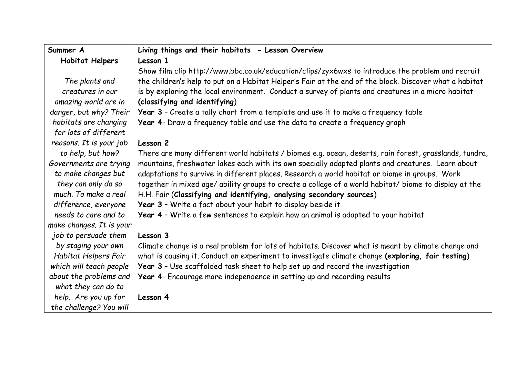| Summer A                 | Living things and their habitats - Lesson Overview                                                     |
|--------------------------|--------------------------------------------------------------------------------------------------------|
| <b>Habitat Helpers</b>   | Lesson 1                                                                                               |
|                          | Show film clip http://www.bbc.co.uk/education/clips/zyx6wxs to introduce the problem and recruit       |
| The plants and           | the children's help to put on a Habitat Helper's Fair at the end of the block. Discover what a habitat |
| creatures in our         | is by exploring the local environment. Conduct a survey of plants and creatures in a micro habitat     |
| amazing world are in     | (classifying and identifying)                                                                          |
| danger, but why? Their   | Year 3 - Create a tally chart from a template and use it to make a frequency table                     |
| habitats are changing    | Year 4- Draw a frequency table and use the data to create a frequency graph                            |
| for lots of different    |                                                                                                        |
| reasons. It is your job  | Lesson 2                                                                                               |
| to help, but how?        | There are many different world habitats / biomes e.g. ocean, deserts, rain forest, grasslands, tundra, |
| Governments are trying   | mountains, freshwater lakes each with its own specially adapted plants and creatures. Learn about      |
| to make changes but      | adaptations to survive in different places. Research a world habitat or biome in groups. Work          |
| they can only do so      | together in mixed age/ ability groups to create a collage of a world habitat/ biome to display at the  |
| much. To make a real     | H.H. Fair (Classifying and identifying, analysing secondary sources)                                   |
| difference, everyone     | Year 3 - Write a fact about your habit to display beside it                                            |
| needs to care and to     | Year 4 - Write a few sentences to explain how an animal is adapted to your habitat                     |
| make changes. It is your |                                                                                                        |
| job to persuade them     | Lesson 3                                                                                               |
| by staging your own      | Climate change is a real problem for lots of habitats. Discover what is meant by climate change and    |
| Habitat Helpers Fair     | what is causing it. Conduct an experiment to investigate climate change (exploring, fair testing)      |
| which will teach people  | Year 3 - Use scaffolded task sheet to help set up and record the investigation                         |
| about the problems and   | Year 4- Encourage more independence in setting up and recording results                                |
| what they can do to      |                                                                                                        |
| help. Are you up for     | Lesson 4                                                                                               |
| the challenge? You will  |                                                                                                        |